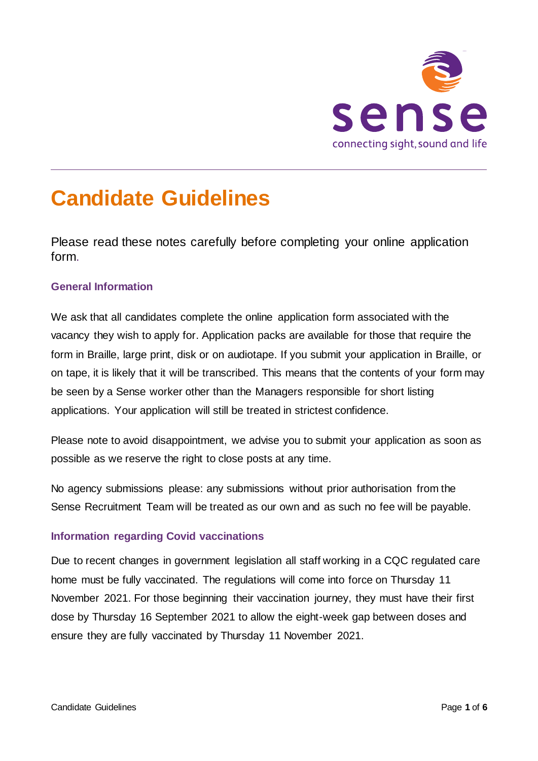

# **Candidate Guidelines**

Please read these notes carefully before completing your online application form.

## **General Information**

We ask that all candidates complete the online application form associated with the vacancy they wish to apply for. Application packs are available for those that require the form in Braille, large print, disk or on audiotape. If you submit your application in Braille, or on tape, it is likely that it will be transcribed. This means that the contents of your form may be seen by a Sense worker other than the Managers responsible for short listing applications. Your application will still be treated in strictest confidence.

Please note to avoid disappointment, we advise you to submit your application as soon as possible as we reserve the right to close posts at any time.

No agency submissions please: any submissions without prior authorisation from the Sense Recruitment Team will be treated as our own and as such no fee will be payable.

## **Information regarding Covid vaccinations**

Due to recent changes in government legislation all staff working in a CQC regulated care home must be fully vaccinated. The regulations will come into force on Thursday 11 November 2021. For those beginning their vaccination journey, they must have their first dose by Thursday 16 September 2021 to allow the eight-week gap between doses and ensure they are fully vaccinated by Thursday 11 November 2021.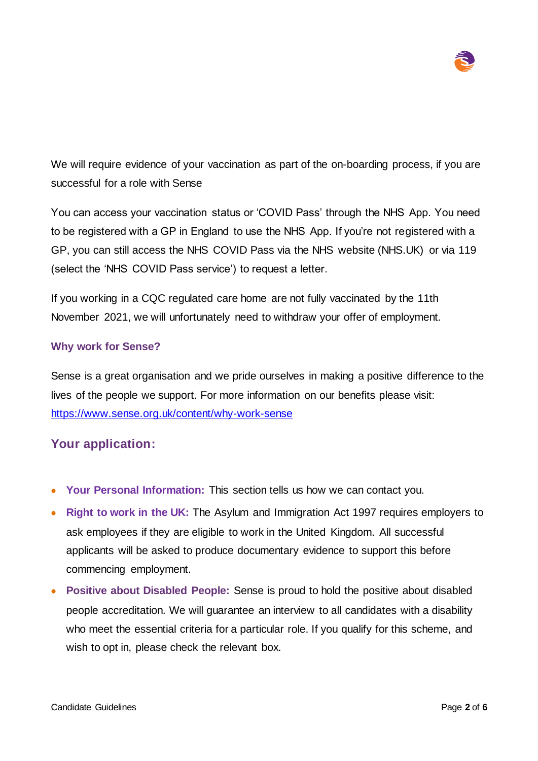

We will require evidence of your vaccination as part of the on-boarding process, if you are successful for a role with Sense

You can access your vaccination status or 'COVID Pass' through the NHS App. You need to be registered with a GP in England to use the NHS App. If you're not registered with a GP, you can still access the NHS COVID Pass via the NHS website (NHS.UK) or via 119 (select the 'NHS COVID Pass service') to request a letter.

If you working in a CQC regulated care home are not fully vaccinated by the 11th November 2021, we will unfortunately need to withdraw your offer of employment.

#### **Why work for Sense?**

Sense is a great organisation and we pride ourselves in making a positive difference to the lives of the people we support. For more information on our benefits please visit: <https://www.sense.org.uk/content/why-work-sense>

## **Your application:**

- **Your Personal Information:** This section tells us how we can contact you.
- **Right to work in the UK:** The Asylum and Immigration Act 1997 requires employers to ask employees if they are eligible to work in the United Kingdom. All successful applicants will be asked to produce documentary evidence to support this before commencing employment.
- **Positive about Disabled People:** Sense is proud to hold the positive about disabled people accreditation. We will guarantee an interview to all candidates with a disability who meet the essential criteria for a particular role. If you qualify for this scheme, and wish to opt in, please check the relevant box.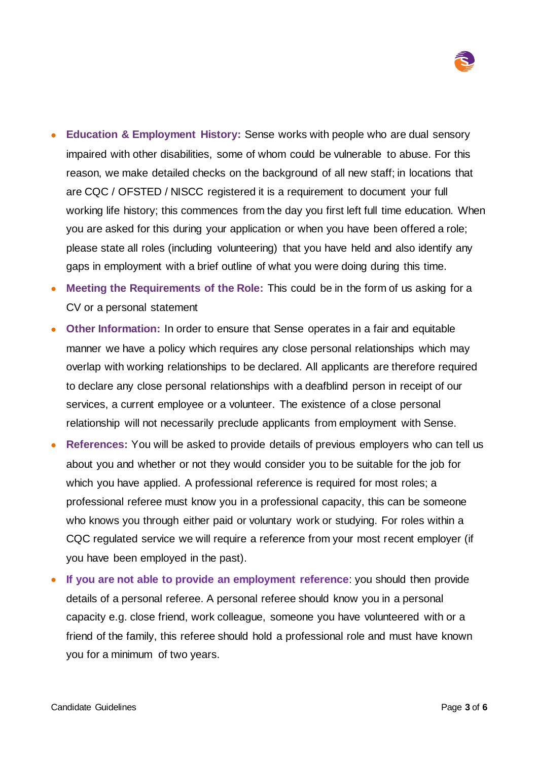

- **Education & Employment History:** Sense works with people who are dual sensory impaired with other disabilities, some of whom could be vulnerable to abuse. For this reason, we make detailed checks on the background of all new staff; in locations that are CQC / OFSTED / NISCC registered it is a requirement to document your full working life history; this commences from the day you first left full time education. When you are asked for this during your application or when you have been offered a role; please state all roles (including volunteering) that you have held and also identify any gaps in employment with a brief outline of what you were doing during this time.
- **Meeting the Requirements of the Role:** This could be in the form of us asking for a CV or a personal statement
- **Other Information:** In order to ensure that Sense operates in a fair and equitable manner we have a policy which requires any close personal relationships which may overlap with working relationships to be declared. All applicants are therefore required to declare any close personal relationships with a deafblind person in receipt of our services, a current employee or a volunteer. The existence of a close personal relationship will not necessarily preclude applicants from employment with Sense.
- **References:** You will be asked to provide details of previous employers who can tell us about you and whether or not they would consider you to be suitable for the job for which you have applied. A professional reference is required for most roles; a professional referee must know you in a professional capacity, this can be someone who knows you through either paid or voluntary work or studying. For roles within a CQC regulated service we will require a reference from your most recent employer (if you have been employed in the past).
- **If you are not able to provide an employment reference**: you should then provide details of a personal referee. A personal referee should know you in a personal capacity e.g. close friend, work colleague, someone you have volunteered with or a friend of the family, this referee should hold a professional role and must have known you for a minimum of two years.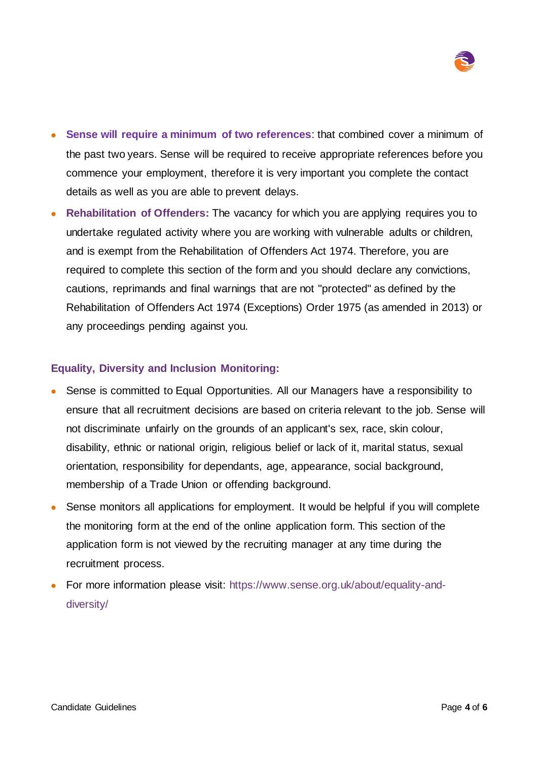

- **Sense will require a minimum of two references**: that combined cover a minimum of the past two years. Sense will be required to receive appropriate references before you commence your employment, therefore it is very important you complete the contact details as well as you are able to prevent delays.
- **Rehabilitation of Offenders:** The vacancy for which you are applying requires you to undertake regulated activity where you are working with vulnerable adults or children, and is exempt from the Rehabilitation of Offenders Act 1974. Therefore, you are required to complete this section of the form and you should declare any convictions, cautions, reprimands and final warnings that are not "protected" as defined by the Rehabilitation of Offenders Act 1974 (Exceptions) Order 1975 (as amended in 2013) or any proceedings pending against you.

## **Equality, Diversity and Inclusion Monitoring:**

- Sense is committed to Equal Opportunities. All our Managers have a responsibility to ensure that all recruitment decisions are based on criteria relevant to the job. Sense will not discriminate unfairly on the grounds of an applicant's sex, race, skin colour, disability, ethnic or national origin, religious belief or lack of it, marital status, sexual orientation, responsibility for dependants, age, appearance, social background, membership of a Trade Union or offending background.
- Sense monitors all applications for employment. It would be helpful if you will complete the monitoring form at the end of the online application form. This section of the application form is not viewed by the recruiting manager at any time during the recruitment process.
- For more information please visit: [https://www.sense.org.uk/about/equality-and](https://www.sense.org.uk/about/equality-and-diversity/)[diversity/](https://www.sense.org.uk/about/equality-and-diversity/)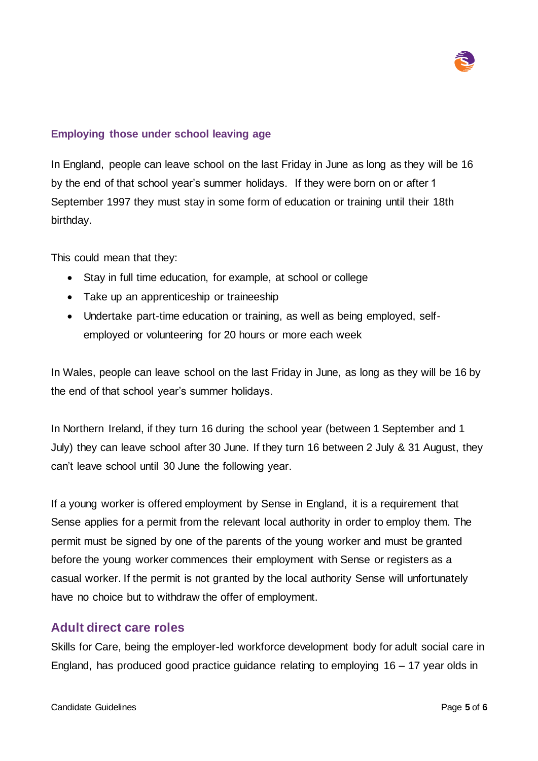

## **Employing those under school leaving age**

In England, people can leave school on the last Friday in June as long as they will be 16 by the end of that school year's summer holidays. If they were born on or after 1 September 1997 they must stay in some form of education or training until their 18th birthday.

This could mean that they:

- Stay in full time education, for example, at school or college
- Take up an apprenticeship or traineeship
- Undertake part-time education or training, as well as being employed, selfemployed or volunteering for 20 hours or more each week

In Wales, people can leave school on the last Friday in June, as long as they will be 16 by the end of that school year's summer holidays.

In Northern Ireland, if they turn 16 during the school year (between 1 September and 1 July) they can leave school after 30 June. If they turn 16 between 2 July & 31 August, they can't leave school until 30 June the following year.

If a young worker is offered employment by Sense in England, it is a requirement that Sense applies for a permit from the relevant local authority in order to employ them. The permit must be signed by one of the parents of the young worker and must be granted before the young worker commences their employment with Sense or registers as a casual worker. If the permit is not granted by the local authority Sense will unfortunately have no choice but to withdraw the offer of employment.

## **Adult direct care roles**

Skills for Care, being the employer-led workforce development body for adult social care in England, has produced good practice guidance relating to employing 16 – 17 year olds in